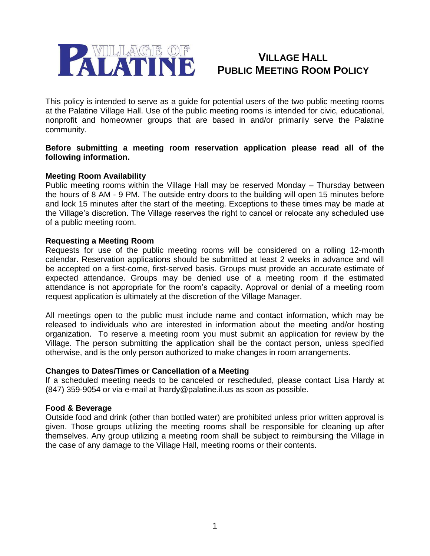

### **VILLAGE HALL PUBLIC MEETING ROOM POLICY**

This policy is intended to serve as a guide for potential users of the two public meeting rooms at the Palatine Village Hall. Use of the public meeting rooms is intended for civic, educational, nonprofit and homeowner groups that are based in and/or primarily serve the Palatine community.

#### **Before submitting a meeting room reservation application please read all of the following information.**

#### **Meeting Room Availability**

Public meeting rooms within the Village Hall may be reserved Monday – Thursday between the hours of 8 AM - 9 PM. The outside entry doors to the building will open 15 minutes before and lock 15 minutes after the start of the meeting. Exceptions to these times may be made at the Village's discretion. The Village reserves the right to cancel or relocate any scheduled use of a public meeting room.

#### **Requesting a Meeting Room**

Requests for use of the public meeting rooms will be considered on a rolling 12-month calendar. Reservation applications should be submitted at least 2 weeks in advance and will be accepted on a first-come, first-served basis. Groups must provide an accurate estimate of expected attendance. Groups may be denied use of a meeting room if the estimated attendance is not appropriate for the room's capacity. Approval or denial of a meeting room request application is ultimately at the discretion of the Village Manager.

All meetings open to the public must include name and contact information, which may be released to individuals who are interested in information about the meeting and/or hosting organization. To reserve a meeting room you must submit an application for review by the Village. The person submitting the application shall be the contact person, unless specified otherwise, and is the only person authorized to make changes in room arrangements.

#### **Changes to Dates/Times or Cancellation of a Meeting**

If a scheduled meeting needs to be canceled or rescheduled, please contact Lisa Hardy at (847) 359-9054 or via e-mail at lhardy@palatine.il.us as soon as possible.

#### **Food & Beverage**

Outside food and drink (other than bottled water) are prohibited unless prior written approval is given. Those groups utilizing the meeting rooms shall be responsible for cleaning up after themselves. Any group utilizing a meeting room shall be subject to reimbursing the Village in the case of any damage to the Village Hall, meeting rooms or their contents.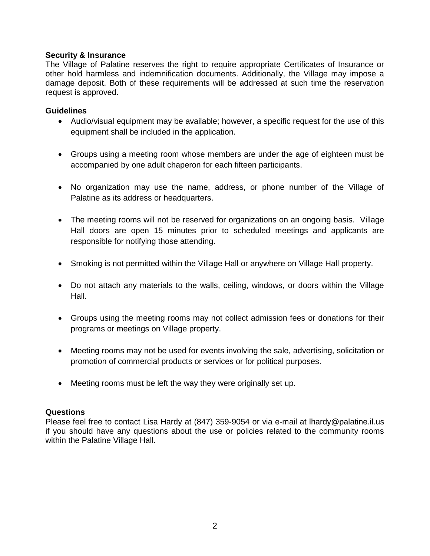#### **Security & Insurance**

The Village of Palatine reserves the right to require appropriate Certificates of Insurance or other hold harmless and indemnification documents. Additionally, the Village may impose a damage deposit. Both of these requirements will be addressed at such time the reservation request is approved.

#### **Guidelines**

- Audio/visual equipment may be available; however, a specific request for the use of this equipment shall be included in the application.
- Groups using a meeting room whose members are under the age of eighteen must be accompanied by one adult chaperon for each fifteen participants.
- No organization may use the name, address, or phone number of the Village of Palatine as its address or headquarters.
- The meeting rooms will not be reserved for organizations on an ongoing basis. Village Hall doors are open 15 minutes prior to scheduled meetings and applicants are responsible for notifying those attending.
- Smoking is not permitted within the Village Hall or anywhere on Village Hall property.
- Do not attach any materials to the walls, ceiling, windows, or doors within the Village Hall.
- Groups using the meeting rooms may not collect admission fees or donations for their programs or meetings on Village property.
- Meeting rooms may not be used for events involving the sale, advertising, solicitation or promotion of commercial products or services or for political purposes.
- Meeting rooms must be left the way they were originally set up.

#### **Questions**

Please feel free to contact Lisa Hardy at (847) 359-9054 or via e-mail at lhardy@palatine.il.us if you should have any questions about the use or policies related to the community rooms within the Palatine Village Hall.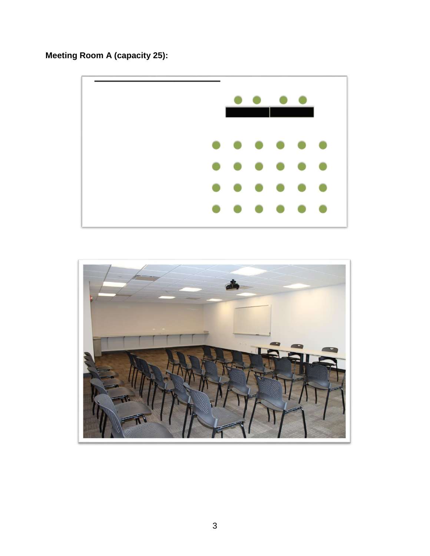# **Meeting Room A (capacity 25):**



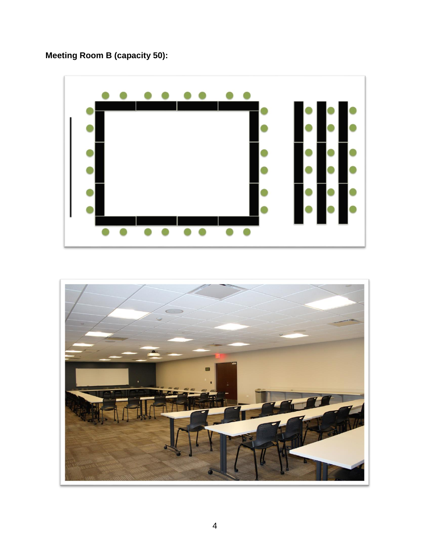# **Meeting Room B (capacity 50):**